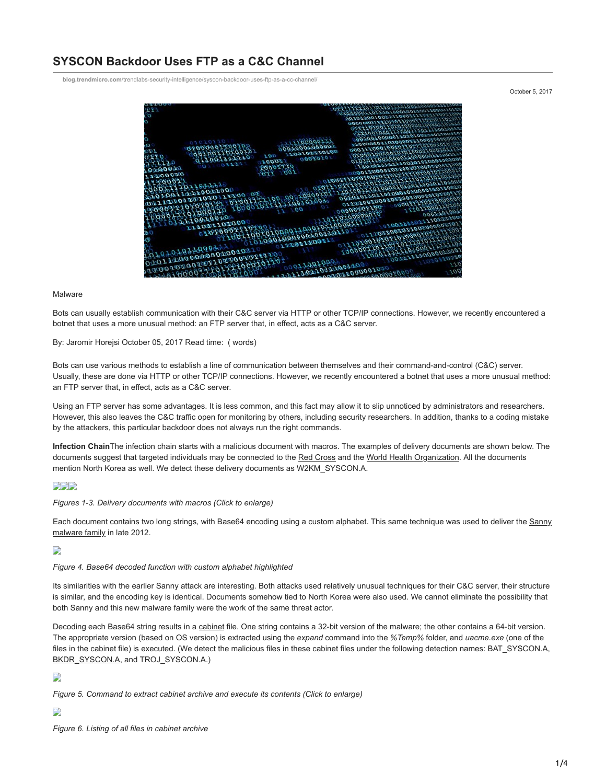# **SYSCON Backdoor Uses FTP as a C&C Channel**

**blog.trendmicro.com**[/trendlabs-security-intelligence/syscon-backdoor-uses-ftp-as-a-cc-channel/](http://blog.trendmicro.com/trendlabs-security-intelligence/syscon-backdoor-uses-ftp-as-a-cc-channel/)

October 5, 2017



#### Malware

Bots can usually establish communication with their C&C server via HTTP or other TCP/IP connections. However, we recently encountered a botnet that uses a more unusual method: an FTP server that, in effect, acts as a C&C server.

### By: Jaromir Horejsi October 05, 2017 Read time: ( words)

Bots can use various methods to establish a line of communication between themselves and their command-and-control (C&C) server. Usually, these are done via HTTP or other TCP/IP connections. However, we recently encountered a botnet that uses a more unusual method: an FTP server that, in effect, acts as a C&C server.

Using an FTP server has some advantages. It is less common, and this fact may allow it to slip unnoticed by administrators and researchers. However, this also leaves the C&C traffic open for monitoring by others, including security researchers. In addition, thanks to a coding mistake by the attackers, this particular backdoor does not always run the right commands.

**Infection Chain**The infection chain starts with a malicious document with macros. The examples of delivery documents are shown below. The documents suggest that targeted individuals may be connected to the [Red Cross](http://www.ifrc.org/what-we-do/health/cbhfa/about-cbhfa/) and the [World Health Organization](http://www.who.int/pmnch/about/continuum_of_care/en/). All the documents mention North Korea as well. We detect these delivery documents as W2KM\_SYSCON.A.

## **BBB**

*Figures 1-3. Delivery documents with macros (Click to enlarge)*

[Each document contains two long strings, with Base64 encoding using a custom alphabet. This same technique was used to deliver the Sanny](https://www.theregister.co.uk/2012/12/12/russian_cyberespionage_attack/) malware family in late 2012.

### D

#### *Figure 4. Base64 decoded function with custom alphabet highlighted*

Its similarities with the earlier Sanny attack are interesting. Both attacks used relatively unusual techniques for their C&C server, their structure is similar, and the encoding key is identical. Documents somehow tied to North Korea were also used. We cannot eliminate the possibility that both Sanny and this new malware family were the work of the same threat actor.

Decoding each Base64 string results in a [cabinet](https://msdn.microsoft.com/en-us/library/windows/desktop/aa367841(v=vs.85).aspx) file. One string contains a 32-bit version of the malware; the other contains a 64-bit version. The appropriate version (based on OS version) is extracted using the *expand* command into the *%Temp%* folder, and *uacme.exe* (one of the files in the cabinet file) is executed. (We detect the malicious files in these cabinet files under the following detection names: BAT\_SYSCON.A, [BKDR\\_SYSCON.A,](https://www.trendmicro.com/vinfo/tmr/?/us/threat-encyclopedia/malware/BKDR_SYSCON.A) and TROJ\_SYSCON.A.)

## D

*Figure 5. Command to extract cabinet archive and execute its contents (Click to enlarge)*

## D

*Figure 6. Listing of all files in cabinet archive*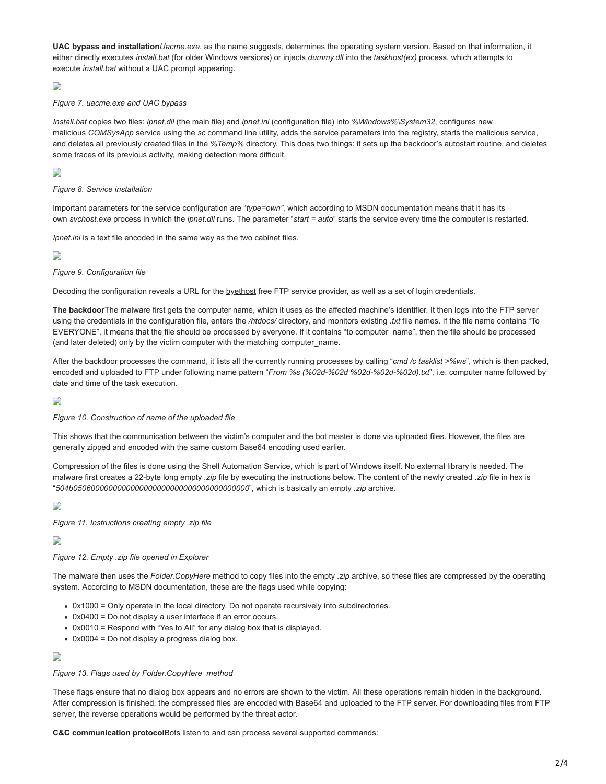**UAC bypass and installation***Uacme.exe*, as the name suggests, determines the operating system version. Based on that information, it either directly executes *install.bat* (for older Windows versions) or injects *dummy.dll* into the *taskhost(ex)* process, which attempts to execute *install.bat* without a [UAC prompt](https://msdn.microsoft.com/en-us/library/cc505883.aspx) appearing.

## D

### *Figure 7. uacme.exe and UAC bypass*

*Install.bat* copies two files: *ipnet.dll* (the main file) and *ipnet.ini* (configuration file) into *%Windows%\System32*, configures new malicious *COMSysApp* service using the *[sc](https://technet.microsoft.com/en-us/library/bb490995.aspx)* command line utility, adds the service parameters into the registry, starts the malicious service, and deletes all previously created files in the *%Temp%* directory. This does two things: it sets up the backdoor's autostart routine, and deletes some traces of its previous activity, making detection more difficult.

## D

### *Figure 8. Service installation*

Important parameters for the service configuration are "*type=own"*, which according to MSDN documentation means that it has its own *svchost.exe* process in which the *ipnet.dll* runs. The parameter "*start = auto*" starts the service every time the computer is restarted.

*Ipnet.ini* is a text file encoded in the same way as the two cabinet files.

## D

### *Figure 9. Configuration file*

Decoding the configuration reveals a URL for the [byethost](https://byet.host/) free FTP service provider, as well as a set of login credentials.

**The backdoor**The malware first gets the computer name, which it uses as the affected machine's identifier. It then logs into the FTP server using the credentials in the configuration file, enters the */htdocs/* directory, and monitors existing *.txt* file names. If the file name contains "To EVERYONE", it means that the file should be processed by everyone. If it contains "to computer\_name", then the file should be processed (and later deleted) only by the victim computer with the matching computer\_name.

After the backdoor processes the command, it lists all the currently running processes by calling "*cmd /c tasklist >%ws*", which is then packed, encoded and uploaded to FTP under following name pattern "*From %s (%02d-%02d %02d-%02d-%02d).txt*", i.e. computer name followed by date and time of the task execution.

## D

#### *Figure 10. Construction of name of the uploaded file*

This shows that the communication between the victim's computer and the bot master is done via uploaded files. However, the files are generally zipped and encoded with the same custom Base64 encoding used earlier.

Compression of the files is done using the [Shell Automation Service](https://msdn.microsoft.com/en-us/library/windows/desktop/bb776890(v=vs.85).aspx), which is part of Windows itself. No external library is needed. The malware first creates a 22-byte long empty *.zip* file by executing the instructions below. The content of the newly created *.zip* file in hex is "*504b0506000000000000000000000000000000000000*", which is basically an empty *.zip* archive.

## D

*Figure 11. Instructions creating empty .zip file*

## D

## *Figure 12. Empty .zip file opened in Explorer*

The malware then uses the *Folder.CopyHere* method to copy files into the empty *.zip* archive, so these files are compressed by the operating system. According to MSDN documentation, these are the flags used while copying:

- 0x1000 = Only operate in the local directory. Do not operate recursively into subdirectories.
- 0x0400 = Do not display a user interface if an error occurs.
- 0x0010 = Respond with "Yes to All" for any dialog box that is displayed.
- 0x0004 = Do not display a progress dialog box.

## D

#### *Figure 13. Flags used by Folder.CopyHere method*

These flags ensure that no dialog box appears and no errors are shown to the victim. All these operations remain hidden in the background. After compression is finished, the compressed files are encoded with Base64 and uploaded to the FTP server. For downloading files from FTP server, the reverse operations would be performed by the threat actor.

**C&C communication protocol**Bots listen to and can process several supported commands: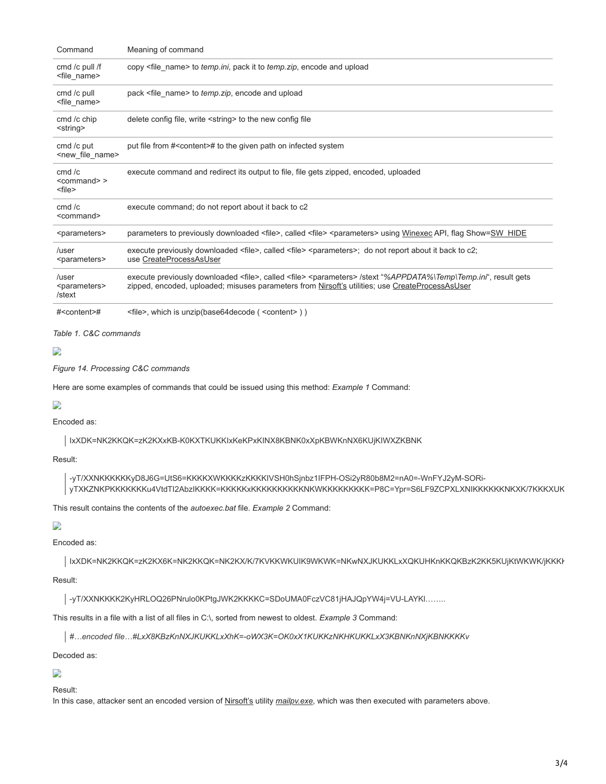| Command                                       | Meaning of command                                                                                                                                                                                                                            |
|-----------------------------------------------|-----------------------------------------------------------------------------------------------------------------------------------------------------------------------------------------------------------------------------------------------|
| cmd /c pull /f<br><file_name></file_name>     | copy <file_name> to temp.ini, pack it to temp.zip, encode and upload</file_name>                                                                                                                                                              |
| cmd /c pull<br><file_name></file_name>        | pack <file name=""> to temp.zip, encode and upload</file>                                                                                                                                                                                     |
| cmd /c chip<br><string></string>              | delete config file, write <string> to the new config file</string>                                                                                                                                                                            |
| cmd /c put<br><new_file_name></new_file_name> | put file from # <content># to the given path on infected system</content>                                                                                                                                                                     |
| cmd /c<br>$<$ command $>$<br><file></file>    | execute command and redirect its output to file, file gets zipped, encoded, uploaded                                                                                                                                                          |
| cmd /c<br><command/>                          | execute command; do not report about it back to c2                                                                                                                                                                                            |
| <parameters></parameters>                     | parameters to previously downloaded <file>, called <file> <parameters> using Winexec API, flag Show=SW HIDE</parameters></file></file>                                                                                                        |
| /user<br><parameters></parameters>            | execute previously downloaded <file>, called <file> <parameters>; do not report about it back to c2;<br/>use CreateProcessAsUser</parameters></file></file>                                                                                   |
| /user<br><parameters><br/>/stext</parameters> | execute previously downloaded <file>, called <file> <parameters> /stext "%APPDATA%\Temp\Temp.ini", result gets<br/>zipped, encoded, uploaded; misuses parameters from Nirsoft's utilities; use CreateProcessAsUser</parameters></file></file> |
| # <content>#</content>                        | <file>, which is unzip(base64decode (<content>))</content></file>                                                                                                                                                                             |

*Table 1. C&C commands*

## D

*Figure 14. Processing C&C commands*

Here are some examples of commands that could be issued using this method: *Example 1* Command:

## D

Encoded as:

IxXDK=NK2KKQK=zK2KXxKB-K0KXTKUKKIxKeKPxKINX8KBNK0xXpKBWKnNX6KUjKIWXZKBNK

## Result:

-yT/XXNKKKKKKyD8J6G=UtS6=KKKKXWKKKKzKKKKIVSH0hSjnbz1IFPH-OSi2yR80b8M2=nA0=-WnFYJ2yM-SORiyTXKZNKPKKKKKKKu4VtdTI2AbzIKKKK=KKKKKxKKKKKKKKKKNKWKKKKKKKKK=P8C=Ypr=S6LF9ZCPXLXNIKKKKKKNKXK/7KKKXUK

This result contains the contents of the *autoexec.bat* file. *Example 2* Command:

# D

Encoded as:

IxXDK=NK2KKQK=zK2KX6K=NK2KKQK=NK2KX/K/7KVKKWKUIK9WKWK=NKwNXJKUKKLxXQKUHKnKKQKBzK2KK5KUjKtWKWK/jKKKK

Result:

-yT/XXNKKKK2KyHRLOQ26PNrulo0KPtgJWK2KKKKC=SDoUMA0FczVC81jHAJQpYW4j=VU-LAYKl……..

This results in a file with a list of all files in C:\, sorted from newest to oldest. *Example 3* Command:

*#…encoded file…#LxX8KBzKnNXJKUKKLxXhK=-oWX3K=OK0xX1KUKKzNKHKUKKLxX3KBNKnNXjKBNKKKKv*

## Decoded as:

## D

Result:

In this case, attacker sent an encoded version of [Nirsoft's](http://www.nirsoft.net/) utility *[mailpv.exe](http://www.nirsoft.net/utils/mailpv.html)*, which was then executed with parameters above.